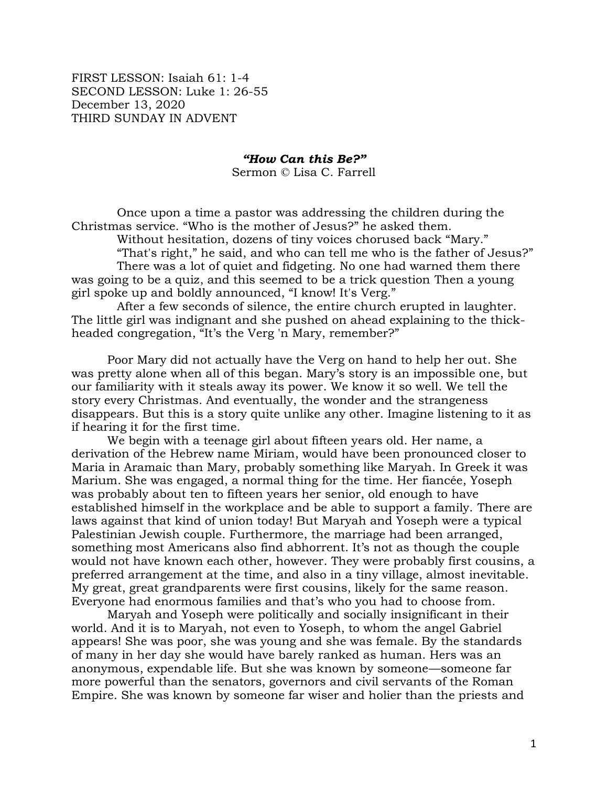FIRST LESSON: Isaiah 61: 1-4 SECOND LESSON: Luke 1: 26-55 December 13, 2020 THIRD SUNDAY IN ADVENT

*"How Can this Be?"*

Sermon © Lisa C. Farrell

Once upon a time a pastor was addressing the children during the Christmas service. "Who is the mother of Jesus?" he asked them.

Without hesitation, dozens of tiny voices chorused back "Mary."

"That's right," he said, and who can tell me who is the father of Jesus?" There was a lot of quiet and fidgeting. No one had warned them there

was going to be a quiz, and this seemed to be a trick question Then a young girl spoke up and boldly announced, "I know! It's Verg."

After a few seconds of silence, the entire church erupted in laughter. The little girl was indignant and she pushed on ahead explaining to the thickheaded congregation, "It's the Verg 'n Mary, remember?"

Poor Mary did not actually have the Verg on hand to help her out. She was pretty alone when all of this began. Mary's story is an impossible one, but our familiarity with it steals away its power. We know it so well. We tell the story every Christmas. And eventually, the wonder and the strangeness disappears. But this is a story quite unlike any other. Imagine listening to it as if hearing it for the first time.

We begin with a teenage girl about fifteen years old. Her name, a derivation of the Hebrew name Miriam, would have been pronounced closer to Maria in Aramaic than Mary, probably something like Maryah. In Greek it was Marium. She was engaged, a normal thing for the time. Her fiancée, Yoseph was probably about ten to fifteen years her senior, old enough to have established himself in the workplace and be able to support a family. There are laws against that kind of union today! But Maryah and Yoseph were a typical Palestinian Jewish couple. Furthermore, the marriage had been arranged, something most Americans also find abhorrent. It's not as though the couple would not have known each other, however. They were probably first cousins, a preferred arrangement at the time, and also in a tiny village, almost inevitable. My great, great grandparents were first cousins, likely for the same reason. Everyone had enormous families and that's who you had to choose from.

Maryah and Yoseph were politically and socially insignificant in their world. And it is to Maryah, not even to Yoseph, to whom the angel Gabriel appears! She was poor, she was young and she was female. By the standards of many in her day she would have barely ranked as human. Hers was an anonymous, expendable life. But she was known by someone—someone far more powerful than the senators, governors and civil servants of the Roman Empire. She was known by someone far wiser and holier than the priests and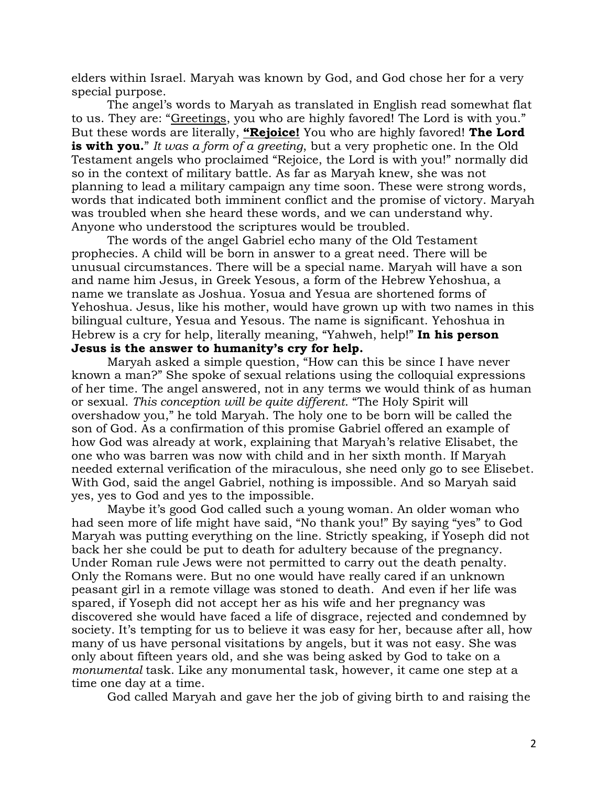elders within Israel. Maryah was known by God, and God chose her for a very special purpose.

The angel's words to Maryah as translated in English read somewhat flat to us. They are: "Greetings, you who are highly favored! The Lord is with you." But these words are literally, **"Rejoice!** You who are highly favored! **The Lord is with you.**" *It was a form of a greeting*, but a very prophetic one. In the Old Testament angels who proclaimed "Rejoice, the Lord is with you!" normally did so in the context of military battle. As far as Maryah knew, she was not planning to lead a military campaign any time soon. These were strong words, words that indicated both imminent conflict and the promise of victory. Maryah was troubled when she heard these words, and we can understand why. Anyone who understood the scriptures would be troubled.

The words of the angel Gabriel echo many of the Old Testament prophecies. A child will be born in answer to a great need. There will be unusual circumstances. There will be a special name. Maryah will have a son and name him Jesus, in Greek Yesous, a form of the Hebrew Yehoshua, a name we translate as Joshua. Yosua and Yesua are shortened forms of Yehoshua. Jesus, like his mother, would have grown up with two names in this bilingual culture, Yesua and Yesous. The name is significant. Yehoshua in Hebrew is a cry for help, literally meaning, "Yahweh, help!" **In his person Jesus is the answer to humanity's cry for help.**

Maryah asked a simple question, "How can this be since I have never known a man?" She spoke of sexual relations using the colloquial expressions of her time. The angel answered, not in any terms we would think of as human or sexual. *This conception will be quite different*. "The Holy Spirit will overshadow you," he told Maryah. The holy one to be born will be called the son of God. As a confirmation of this promise Gabriel offered an example of how God was already at work, explaining that Maryah's relative Elisabet, the one who was barren was now with child and in her sixth month. If Maryah needed external verification of the miraculous, she need only go to see Elisebet. With God, said the angel Gabriel, nothing is impossible. And so Maryah said yes, yes to God and yes to the impossible.

Maybe it's good God called such a young woman. An older woman who had seen more of life might have said, "No thank you!" By saying "yes" to God Maryah was putting everything on the line. Strictly speaking, if Yoseph did not back her she could be put to death for adultery because of the pregnancy. Under Roman rule Jews were not permitted to carry out the death penalty. Only the Romans were. But no one would have really cared if an unknown peasant girl in a remote village was stoned to death. And even if her life was spared, if Yoseph did not accept her as his wife and her pregnancy was discovered she would have faced a life of disgrace, rejected and condemned by society. It's tempting for us to believe it was easy for her, because after all, how many of us have personal visitations by angels, but it was not easy. She was only about fifteen years old, and she was being asked by God to take on a *monumental* task. Like any monumental task, however, it came one step at a time one day at a time.

God called Maryah and gave her the job of giving birth to and raising the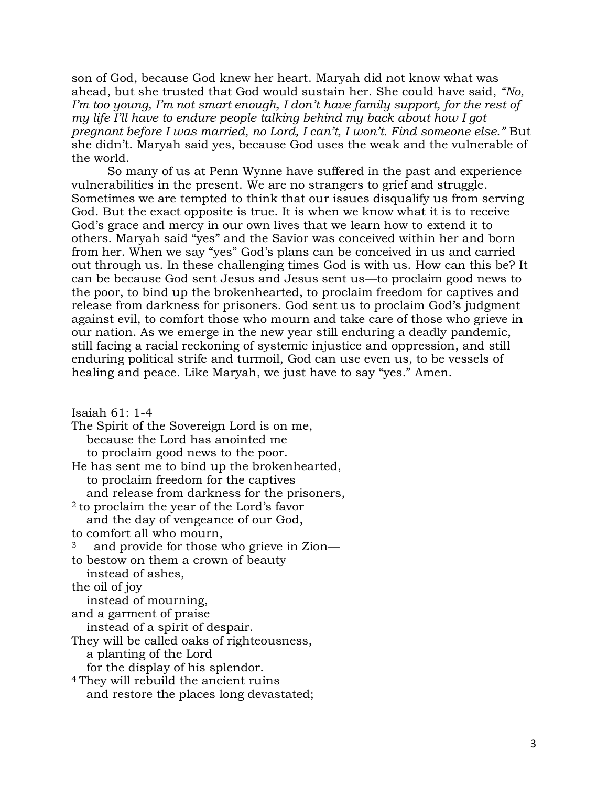son of God, because God knew her heart. Maryah did not know what was ahead, but she trusted that God would sustain her. She could have said, *"No, I'm too young, I'm not smart enough, I don't have family support, for the rest of my life I'll have to endure people talking behind my back about how I got pregnant before I was married, no Lord, I can't, I won't. Find someone else."* But she didn't. Maryah said yes, because God uses the weak and the vulnerable of the world.

So many of us at Penn Wynne have suffered in the past and experience vulnerabilities in the present. We are no strangers to grief and struggle. Sometimes we are tempted to think that our issues disqualify us from serving God. But the exact opposite is true. It is when we know what it is to receive God's grace and mercy in our own lives that we learn how to extend it to others. Maryah said "yes" and the Savior was conceived within her and born from her. When we say "yes" God's plans can be conceived in us and carried out through us. In these challenging times God is with us. How can this be? It can be because God sent Jesus and Jesus sent us—to proclaim good news to the poor, to bind up the brokenhearted, to proclaim freedom for captives and release from darkness for prisoners. God sent us to proclaim God's judgment against evil, to comfort those who mourn and take care of those who grieve in our nation. As we emerge in the new year still enduring a deadly pandemic, still facing a racial reckoning of systemic injustice and oppression, and still enduring political strife and turmoil, God can use even us, to be vessels of healing and peace. Like Maryah, we just have to say "yes." Amen.

Isaiah 61: 1-4

The Spirit of the Sovereign Lord is on me, because the Lord has anointed me to proclaim good news to the poor. He has sent me to bind up the brokenhearted, to proclaim freedom for the captives and release from darkness for the prisoners, <sup>2</sup> to proclaim the year of the Lord's favor and the day of vengeance of our God, to comfort all who mourn, and provide for those who grieve in Zion to bestow on them a crown of beauty instead of ashes, the oil of joy instead of mourning, and a garment of praise instead of a spirit of despair. They will be called oaks of righteousness, a planting of the Lord for the display of his splendor. <sup>4</sup> They will rebuild the ancient ruins and restore the places long devastated;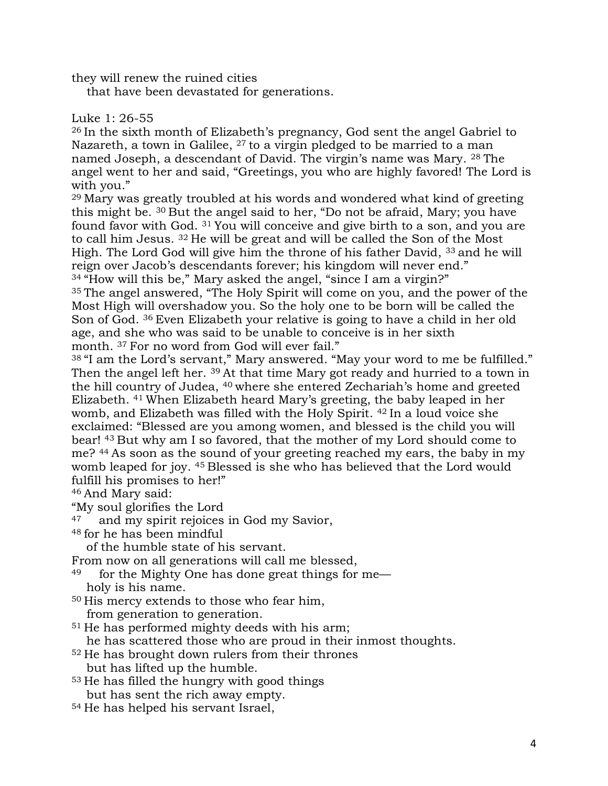they will renew the ruined cities

that have been devastated for generations.

## Luke 1: 26-55

<sup>26</sup> In the sixth month of Elizabeth's pregnancy, God sent the angel Gabriel to Nazareth, a town in Galilee,  $27$  to a virgin pledged to be married to a man named Joseph, a descendant of David. The virgin's name was Mary. <sup>28</sup> The angel went to her and said, "Greetings, you who are highly favored! The Lord is with you."

<sup>29</sup> Mary was greatly troubled at his words and wondered what kind of greeting this might be. <sup>30</sup> But the angel said to her, "Do not be afraid, Mary; you have found favor with God. <sup>31</sup> You will conceive and give birth to a son, and you are to call him Jesus. <sup>32</sup> He will be great and will be called the Son of the Most High. The Lord God will give him the throne of his father David, <sup>33</sup> and he will reign over Jacob's descendants forever; his kingdom will never end." <sup>34</sup> "How will this be," Mary asked the angel, "since I am a virgin?" <sup>35</sup> The angel answered, "The Holy Spirit will come on you, and the power of the Most High will overshadow you. So the holy one to be born will be called the Son of God. <sup>36</sup> Even Elizabeth your relative is going to have a child in her old age, and she who was said to be unable to conceive is in her sixth month. <sup>37</sup> For no word from God will ever fail."

<sup>38</sup> "I am the Lord's servant," Mary answered. "May your word to me be fulfilled." Then the angel left her. <sup>39</sup> At that time Mary got ready and hurried to a town in the hill country of Judea, <sup>40</sup> where she entered Zechariah's home and greeted Elizabeth. <sup>41</sup> When Elizabeth heard Mary's greeting, the baby leaped in her womb, and Elizabeth was filled with the Holy Spirit. <sup>42</sup> In a loud voice she exclaimed: "Blessed are you among women, and blessed is the child you will bear! <sup>43</sup> But why am I so favored, that the mother of my Lord should come to me? <sup>44</sup> As soon as the sound of your greeting reached my ears, the baby in my womb leaped for joy. <sup>45</sup> Blessed is she who has believed that the Lord would fulfill his promises to her!"

<sup>46</sup> And Mary said:

- "My soul glorifies the Lord
- <sup>47</sup> and my spirit rejoices in God my Savior,
- <sup>48</sup> for he has been mindful

of the humble state of his servant.

From now on all generations will call me blessed,

- $49$  for the Mighty One has done great things for meholy is his name.
- <sup>50</sup> His mercy extends to those who fear him,

from generation to generation.

<sup>51</sup> He has performed mighty deeds with his arm;

he has scattered those who are proud in their inmost thoughts.

- <sup>52</sup> He has brought down rulers from their thrones but has lifted up the humble.
- <sup>53</sup> He has filled the hungry with good things but has sent the rich away empty.
- <sup>54</sup> He has helped his servant Israel,